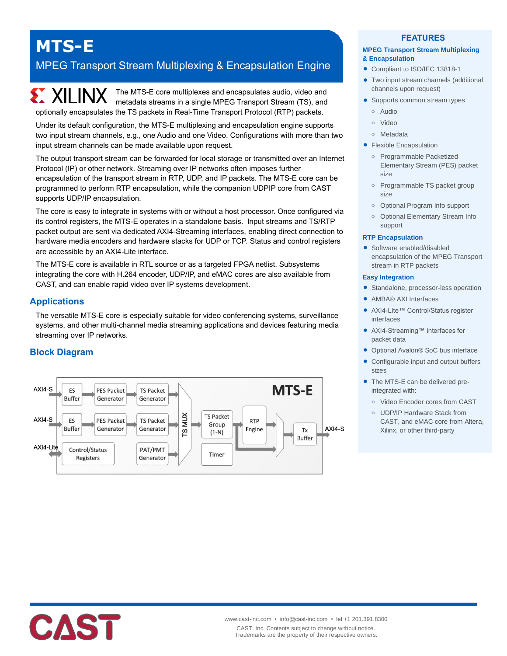# **MTS-E**

## MPEG Transport Stream Multiplexing & Encapsulation Engine

**EXALLINX** The MTS-E core multiplexes and encapsulates audio, video and metadata streams in a single MPEG Transport Stream (TS), and optionally encapsulates the TS packets in Real-Time Transport Protocol (RTP) packets.

Under its default configuration, the MTS-E multiplexing and encapsulation engine supports two input stream channels, e.g., one Audio and one Video. Configurations with more than two input stream channels can be made available upon request.

The output transport stream can be forwarded for local storage or transmitted over an Internet Protocol (IP) or other network. Streaming over IP networks often imposes further encapsulation of the transport stream in RTP, UDP, and IP packets. The MTS-E core can be programmed to perform RTP encapsulation, while the companion UDPIP core from CAST supports UDP/IP encapsulation.

The core is easy to integrate in systems with or without a host processor. Once configured via its control registers, the MTS-E operates in a standalone basis. Input streams and TS/RTP packet output are sent via dedicated AXI4-Streaming interfaces, enabling direct connection to hardware media encoders and hardware stacks for UDP or TCP. Status and control registers are accessible by an AXI4-Lite interface.

The MTS-E core is available in RTL source or as a targeted FPGA netlist. Subsystems integrating the core with H.264 encoder, UDP/IP, and eMAC cores are also available from CAST, and can enable rapid video over IP systems development.

## **Applications**

The versatile MTS-E core is especially suitable for video conferencing systems, surveillance systems, and other multi-channel media streaming applications and devices featuring media streaming over IP networks.

## **Block Diagram**



### **FEATURES**

#### **MPEG Transport Stream Multiplexing & Encapsulation**

- Compliant to ISO/IEC 13818-1
- Two input stream channels (additional channels upon request)
- Supports common stream types
	- **o** Audio
- **o** Video
- **o** Metadata
- **Flexible Encapsulation** 
	- **o** Programmable Packetized Elementary Stream (PES) packet size
	- **o** Programmable TS packet group size
	- **o** Optional Program Info support
	- **o** Optional Elementary Stream Info support

#### **RTP Encapsulation**

• Software enabled/disabled encapsulation of the MPEG Transport stream in RTP packets

#### **Easy Integration**

- **•** Standalone, processor-less operation
- AMBA® AXI Interfaces
- AXI4-Lite™ Control/Status register interfaces
- AXI4-Streaming™ interfaces for packet data
- Optional Avalon® SoC bus interface
- Configurable input and output buffers sizes
- The MTS-E can be delivered preintegrated with:
	- **o** Video Encoder cores from CAST
	- **o** UDP/IP Hardware Stack from CAST, and eMAC core from Altera, Xilinx, or other third-party